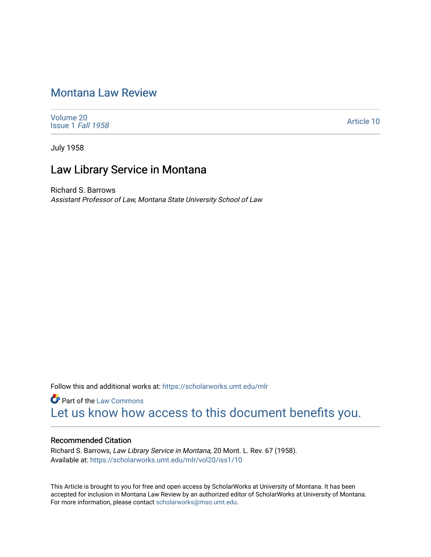# [Montana Law Review](https://scholarworks.umt.edu/mlr)

[Volume 20](https://scholarworks.umt.edu/mlr/vol20) [Issue 1](https://scholarworks.umt.edu/mlr/vol20/iss1) Fall 1958

[Article 10](https://scholarworks.umt.edu/mlr/vol20/iss1/10) 

July 1958

## Law Library Service in Montana

Richard S. Barrows Assistant Professor of Law, Montana State University School of Law

Follow this and additional works at: [https://scholarworks.umt.edu/mlr](https://scholarworks.umt.edu/mlr?utm_source=scholarworks.umt.edu%2Fmlr%2Fvol20%2Fiss1%2F10&utm_medium=PDF&utm_campaign=PDFCoverPages) 

**Part of the [Law Commons](http://network.bepress.com/hgg/discipline/578?utm_source=scholarworks.umt.edu%2Fmlr%2Fvol20%2Fiss1%2F10&utm_medium=PDF&utm_campaign=PDFCoverPages)** [Let us know how access to this document benefits you.](https://goo.gl/forms/s2rGfXOLzz71qgsB2) 

### Recommended Citation

Richard S. Barrows, Law Library Service in Montana, 20 Mont. L. Rev. 67 (1958). Available at: [https://scholarworks.umt.edu/mlr/vol20/iss1/10](https://scholarworks.umt.edu/mlr/vol20/iss1/10?utm_source=scholarworks.umt.edu%2Fmlr%2Fvol20%2Fiss1%2F10&utm_medium=PDF&utm_campaign=PDFCoverPages)

This Article is brought to you for free and open access by ScholarWorks at University of Montana. It has been accepted for inclusion in Montana Law Review by an authorized editor of ScholarWorks at University of Montana. For more information, please contact [scholarworks@mso.umt.edu.](mailto:scholarworks@mso.umt.edu)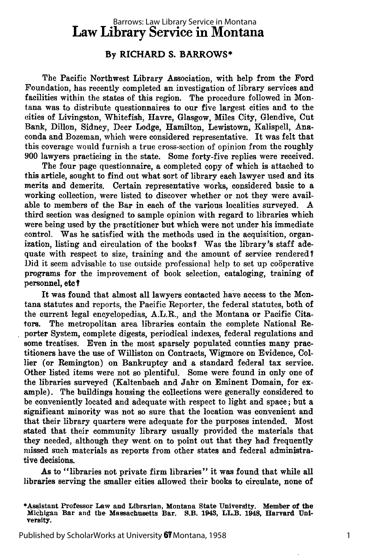## Law Library Service in Montana Barrows: Law Library Service in Montana

#### **By RICHARD S. BARROWS\***

The Pacific Northwest Library Association, with help from the Ford Foundation, has recently completed an investigation of library services and facilities within the states of this region. The procedure followed in Montana was to distribute questionnaires to our five largest cities and to the cities of Livingston, Whitefish, Havre, Glasgow, Miles City, Glendive, Cut Bank, Dillon, Sidney, Deer Lodge, Hamilton, Lewistown, Kalispell, Anaconda and Bozeman, which were considered representative. It was felt that this coverage would furnish a true cross-section of opinion from the roughly **900** lawyers practicing in the state. Some forty-five replies were received.

The four page questionnaire, a completed copy of which is attached to this article, sought to find out what sort of library each lawyer used and its merits and demerits. Certain representative works, considered basic to a working collection, were listed to discover whether or not they were available to members of the Bar in each of the various localities surveyed. **A** third section was designed to sample opinion with regard to libraries which were being used by the practitioner but which were not under his immediate control. Was he satisfied with the methods used in the acquisition, organization, listing and circulation of the books? Was the library's staff adequate with respect to size, training and the amount of service rendered? Did it seem advisable to use outside professional help to set up cooperative programs for the improvement of book selection, cataloging, training of personnel, etc ?

It was found that almost all lawyers contacted have access to the Montana statutes and reports, the Pacific Reporter, the federal statutes, both of the current legal encyclopedias, A.L.R., and the Montana or Pacific Citators. The metropolitan area libraries contain the complete National Reporter System, complete digests, periodical indexes, federal regulations and some treatises. Even in the most sparsely populated counties many practitioners have the use of Williston on Contracts, Wigmore on Evidence, Collier (or Remington) on Bankruptcy and a standard federal tax service. Other listed items were not so plentiful. Some were found in only one of the libraries surveyed (Kaltenbach and Jahr on Eminent Domain, for example). The buildings housing the collections were generally considered to be conveniently located and adequate with respect to light and space; but a significant minority was not so sure that the location was convenient and that their library quarters were adequate for the purposes intended. Most stated that their community library usually provided the materials that they needed, although they went on to point out that they had frequently missed such materials as reports from other states and federal administrative decisions.

As to "libraries not private firm libraries" it was found that while all libraries serving the smaller cities allowed their books to circulate, none of

<sup>\*</sup>Assistant Professor Law and Librarian, Montana State University. Member of the Michigan Bar and the Massachusetts Bar. S.B. **1943,** LL.B. 1948, Harvard University.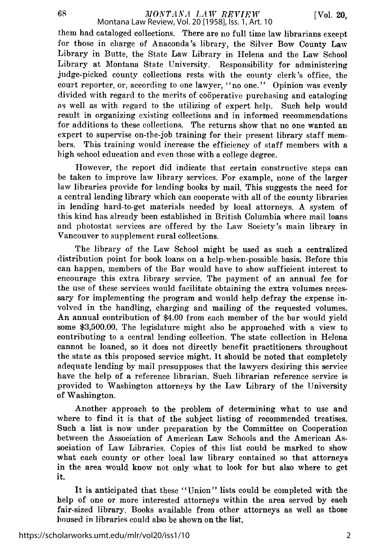68

them had cataloged collections. There are no full time law librarians except for those in charge of Anaconda's library, the Silver Bow County Law Library in Butte, the State Law Library in Helena and the Law School Library at Montana State University. Responsibility for administering judge-picked county collections rests with the county clerk's office, the court reporter, or, according to one lawyer, "no one." Opinion was evenly divided with regard to the merits of cooperative purchasing and cataloging as well as with regard to the utilizing of expert help. Such help would result in organizing existing collections and in informed recommendations for additions to these collections. The returns show that no one wanted an expert to supervise on-the-job training for their present library staff members. This training would increase the efficiency of staff members with a high school education and even those with a college degree.

However, the report did indicate that certain constructive steps can be taken to improve law library services. For example, none of the larger law libraries provide for lending books by mail. This suggests the need for a central lending library which can cooperate with all of the county libraries in lending hard-to-get materials needed by local attorneys. A system of this kind has already been established in British Columbia where mail loans and photostat services are offered by the Law Society's main library in Vancouver to supplement rural collections.

The library of the Law School might be used as such a centralized distribution point for book loans on a help-when-possible basis. Before this can happen, members of the Bar would have to show sufficient interest to encourage this extra library service. The payment of an annual fee for the use of these services would facilitate obtaining the extra volumes necessary for implementing the program and would help defray the expense involved in the handling, charging and mailing of the requested volumes. An annual contribution of \$4.00 from each member of the bar would yield some \$3,500.00. The legislature might also be approached with a view to contributing to a central lending collection. The state collection in Helena cannot be loaned, so it does not directly benefit practitioners throughout the state as this proposed service might. It should be noted that completely adequate lending by mail presupposes that the lawyers desiring this service have the help of a reference librarian. Such librarian reference service is provided to Washington attorneys by the Law Library of the University of Washington.

Another approach to the problem of determining what to use and where to find it is that of the subject listing of recommended treatises. Such a list is now under preparation by the Committee on Cooperation between the Association of American Law Schools and the American Association of Law Libraries. Copies of this list could be marked to show what each county or other local law library contained so that attorneys in the area would know not only what to look for but also where to get it.

It is anticipated that these "Union" lists could be completed with the help of one or more interested attorneys within the area served by each fair-sized library. Books available from other attorneys as well as those housed in libraries could also be shown on the list.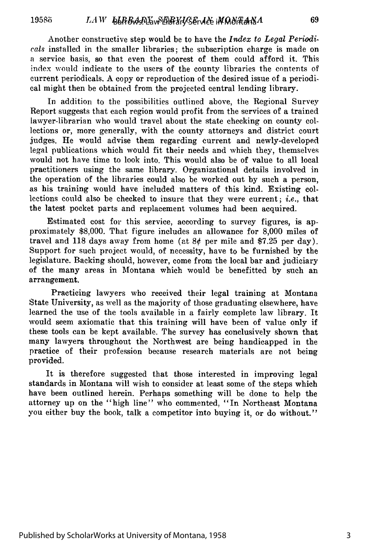Another constructive step would be to have the *Index to Legal Periodicals* installed in the smaller libraries; the subscription charge is made on a service basis, so that even the poorest of them could afford it. This index would indicate to the users of the county libraries the contents of current periodicals. A copy or reproduction of the desired issue of a periodical might then be obtained from the projected central lending library.

In addition to the possibilities outlined above, the Regional Survey Report suggests that each region would profit from the services of a trained lawyer-librarian who would travel about the state checking on county collections or, more generally, with the county attorneys and district court judges. He would advise them regarding current and newly-developed legal publications which would fit their needs and which they, themselves would not have time to look into. This would also be of value to all local practitioners using the same library. Organizational details involved in the operation of the libraries could also be worked out by such a person, as his training would have included matters of this kind. Existing collections could also be checked to insure that they were current; *i.e.,* that the latest pocket parts and replacement volumes had been acquired.

Estimated cost for this service, according to survey figures, is approximately \$8,000. That figure includes an allowance for 8,000 miles of travel and 118 days away from home (at  $8¢$  per mile and \$7.25 per day). Support for such project would, of necessity, have to be furnished by the legislature. Backing should, however, come from the local bar and judiciary of the many areas in Montana which would be benefitted by such an arrangement.

Practicing lawyers who received their legal training at Montana State University, as well as the majority of those graduating elsewhere, have learned the use of the tools available in a fairly complete law library. It would seem axiomatic that this training will have been of value only if these tools can be kept available. The survey has conclusively shown that many lawyers throughout the Northwest are being handicapped in the practice of their profession because research materials are not being provided.

It is therefore suggested that those interested in improving legal standards in Montana will wish to consider at least some of the steps which have been outlined herein. Perhaps something will be done to help the attorney up on the "high line" who commented, "In Northeast Montana you either buy the book, talk a competitor into buying it, or do without."

69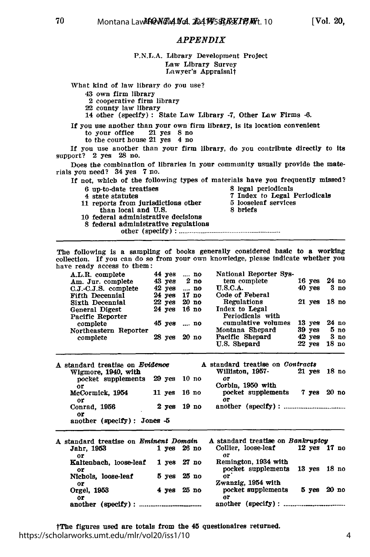**[Vol. 20,**

#### *APPENDIX*

#### **P.N.L.A.** Library Development Project Law Library Survey Lawyer's Appraisalt

What kind of law library do you use?

43 own firm library

70

2 cooperative firm library

22 county law library

14 other (specify) **:** State Law Library -7, Other Law Firms **-6.**

- If you use another than your own firm lbrary, Is its location convenient to your office 21 yes 8 no
	- to the court house 21 yes 4 no

**If** you use another than your firm library, do you contribute directly to its support? 2 yes **28** no.

Does the combination of libraries **in** your community usually provide the materials you need? 34 yes **7** no.

- If not, which of the following types of materials have you frequently missed?
	-
	-
	- 11 reports from jurisdictions other **5** loosele<br>than local and U.S. 8 briefs
- **6 up-to-date treatises** 8 legal periodicals 8 legal periodicals 8 state statutes 8 contract 8 and 8 contract 8 and 8 and 8 and 8 and 8 and 8 and 8 and 8 and 8 and 8 and 8 and 8 and 8 and 8 and 8 and 8 and 8 and 8 and 8
	- 7 Index to Legal Periodicals<br>5 looseleaf services
		- than local and U.S.
	- 10 federal administrative decisions
	- **8** federal administrative regulations

other (specify) **: .................................................**

The following is a sampling of books generally considered basic to a working collection. **If** you can do so from your own knowledge, please indicate whether you have ready access to them:

| A.L.R. complete        | 44 yes          | $\ldots$ no | National Reporter Sys-   |              |                 |
|------------------------|-----------------|-------------|--------------------------|--------------|-----------------|
| Am. Jur. complete      | $43$ yes $2$ no |             | tem complet <del>e</del> | $16$ yes     | $24$ no         |
| $C.J.-C.J.S.$ complete | $42$ yes        | no          | <b>U.S.C.A.</b>          | $40$ yes     | 3 <sub>no</sub> |
| Fifth Decennial        | 24 yes 17 no    |             | Code of Feberal          |              |                 |
| Sixth Decennial        | 22 yes 20 no    |             | Regulations              | 21 yes 18 no |                 |
| General Digest         | 24 yes 16 no    |             | Index to Legal           |              |                 |
| Pacific Reporter       |                 |             | Periodicals with         |              |                 |
| complete               | 45 yes  no      |             | cumulative volumes       | $13$ yes     | 24 no           |
| Northeastern Reporter  |                 |             | Montana Shepard          | $39$ yes     | 5 <sub>no</sub> |
| complete               | $28$ yes        | 20 n        | Pacific Shepard          | $42$ yes     | 3 <sub>no</sub> |
|                        |                 |             | U.S. Shepard             | $22$ yes     | 18 no           |

| A standard treatise on Evidence<br>Wigmore, 1940, with |              |                 | A standard treatise on Contracts<br>Williston, 1957- | 21 yes 18 no |  |
|--------------------------------------------------------|--------------|-----------------|------------------------------------------------------|--------------|--|
| pocket supplements 29 yes 10 no                        |              |                 | oг                                                   |              |  |
| or                                                     |              |                 | Corbin. 1950 with                                    |              |  |
| McCormick, 1954                                        | 11 yes 16 no |                 | pocket supplements 7 yes 20 no                       |              |  |
| or                                                     |              |                 | or                                                   |              |  |
| Conrad, 1956                                           |              | $2$ yes $19$ no |                                                      |              |  |
| or<br>another (specify): Jones $-5$                    |              |                 |                                                      |              |  |

| A standard treatise on <i>Eminent Domain</i><br>Jahr, 1953 |                 | $1$ yes $26$ no | A standard treatise on Bankruptcy<br>Collier, loose-leaf | 12 yes 17 no |       |
|------------------------------------------------------------|-----------------|-----------------|----------------------------------------------------------|--------------|-------|
| oг                                                         |                 |                 | or                                                       |              |       |
| Kaltenbach, loose-leaf<br>or                               | $1$ yes $27$ no |                 | Remington, 1934 with<br>pocket supplements 13 yes 18 no  |              |       |
| Nichols, loose-leaf                                        |                 | 5 yes 25 no     | nг                                                       |              |       |
| or                                                         |                 |                 | Zwanzig, 1954 with<br>pocket supplements                 | 5 уев        | 20 no |
| Orgel, 1953<br>0F                                          | 4 yes           | 25 no           | or                                                       |              |       |
| another $(specify)$ :                                      |                 |                 |                                                          |              |       |

tThe figures used are totals from the 45 questionaires returned. https://scholarworks.umt.edu/mlr/vol20/iss1/10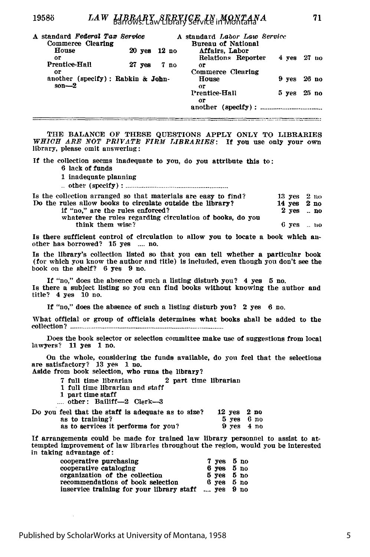| A standard Federal Tax Service<br>Commerce Clearing |                  |       |                 | A standard Labor Law Service<br>Bureau of National |                 |         |  |
|-----------------------------------------------------|------------------|-------|-----------------|----------------------------------------------------|-----------------|---------|--|
| House                                               | $20 \text{ yes}$ | 12 no |                 | Affairs. Labor                                     |                 |         |  |
| or                                                  |                  |       |                 | Relations Reporter                                 | $4$ yes $27$ no |         |  |
| Prentice-Hall                                       | $27 \text{ yes}$ |       | 7 <sub>no</sub> | 0P                                                 |                 |         |  |
| oг                                                  |                  |       |                 | Commerce Clearing                                  |                 |         |  |
| another (specify): Rabkin & John-<br>$son - 2$      |                  |       |                 | House<br>or                                        | 9 yes 26 no     |         |  |
|                                                     |                  |       |                 | <b>Prentice-Hall</b><br>oг                         | $5 \text{ yes}$ | - 25 no |  |
|                                                     |                  |       |                 |                                                    |                 |         |  |

**THE BALANCE** OF THESE **QUESTIONS** APPLY ONLY TO LIBRARIES *WHICH ARE NOT PRIVATE FIRM LIBRARIES:* **If** you use only your own library, please omit answering:

**If** the collection seems inadequate to you, do you attribute this to: **6** lack of funds

1 inadequate planning

**..** other **(specify) :** ..............................

| Is the collection arranged so that materials are easy to find?                |           | $13$ yes $2$ no     |
|-------------------------------------------------------------------------------|-----------|---------------------|
| Do the rules allow books to circulate outside the library?                    |           | $14$ yes $2$ no     |
| if "no," are the rules enforced?                                              |           | $2$ yes $\ldots$ no |
| whatever the rules regarding circulation of books, do you<br>think them wise? | 6 yes  no |                     |

Is there sufficient control of circulation to allow you to locate a book which another has borrowed? **15** yes .... no.

**Is** the library's collection listed so that you can tell whether a particular book (for which you know the author and title) is Included, even though you don't see the book on the shelf? 6 yes 9 no.

If "no," does the absence of such a listing disturb you? 4 yes **5** no. Is there a subject listing so you can find books without knowing the author and title? 4 yes 10 no.

**If** "no," does the absence of such a listing disturb you? 2 yes **6** no.

What official or group of officials determines what books shall be added to the collection? **.............................................................................**

Does the book selector or selection committee make use of suggestions from local lawyers? 11 yes 1 no.

On the whole, considering the funds available, do you feel that the selections are satisfactory? 13 yes 1 no.

Aside from book selection, who runs the library?

- **7** full time librarian 2 part time librarian
- 1 full time librarian and staff
- 1 part time staff
- .... other: Bailiff-2 Clerk-3

| Do you feel that the staff is adequate as to size? | $12$ yes $2$ no |  |
|----------------------------------------------------|-----------------|--|
| as to training?                                    | 5 yes 6 no      |  |
| as to services it performs for you?                | $9$ yes $4$ no  |  |

**If** arrangements could be made for trained law library personnel to assist to attempted improvement of law libraries throughout the region, would you be interested in taking advantage of:

| cooperative purchasing                    |  | 7 yes 5 no                   |
|-------------------------------------------|--|------------------------------|
| cooperative cataloging                    |  | $6$ yes $5$ no               |
| organization of the collection            |  | $5 \text{ Yes} 5 \text{ no}$ |
| recommendations of book selection         |  | $6$ yes $5$ no               |
| inservice training for your library staff |  | $$ yes $9$ no                |